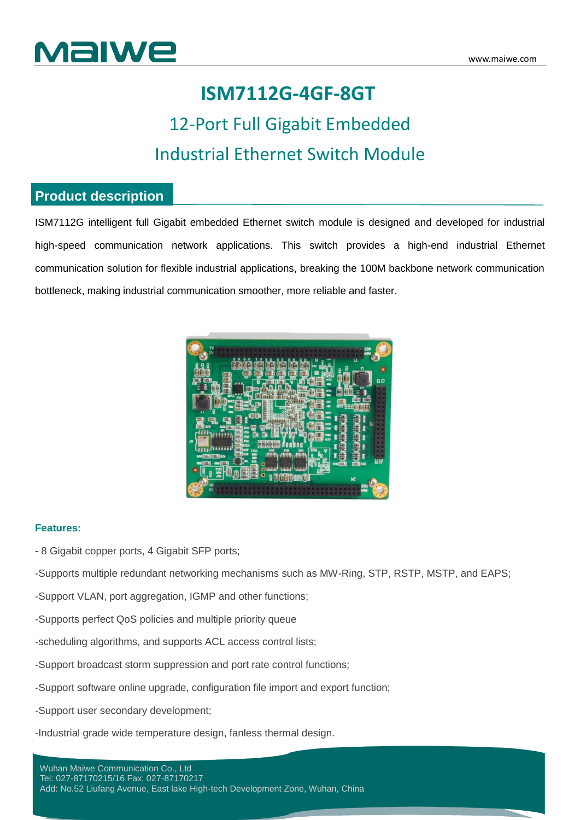

## **ISM7112G-4GF-8GT**

## 12-Port Full Gigabit Embedded Industrial Ethernet Switch Module

### **Product description**

ISM7112G intelligent full Gigabit embedded Ethernet switch module is designed and developed for industrial high-speed communication network applications. This switch provides a high-end industrial Ethernet communication solution for flexible industrial applications, breaking the 100M backbone network communication bottleneck, making industrial communication smoother, more reliable and faster.



#### **Features:**

- 8 Gigabit copper ports, 4 Gigabit SFP ports;

-Supports multiple redundant networking mechanisms such as MW-Ring, STP, RSTP, MSTP, and EAPS;

-Support VLAN, port aggregation, IGMP and other functions;

- -Supports perfect QoS policies and multiple priority queue
- -scheduling algorithms, and supports ACL access control lists;
- -Support broadcast storm suppression and port rate control functions;
- -Support software online upgrade, configuration file import and export function;
- -Support user secondary development;

-Industrial grade wide temperature design, fanless thermal design.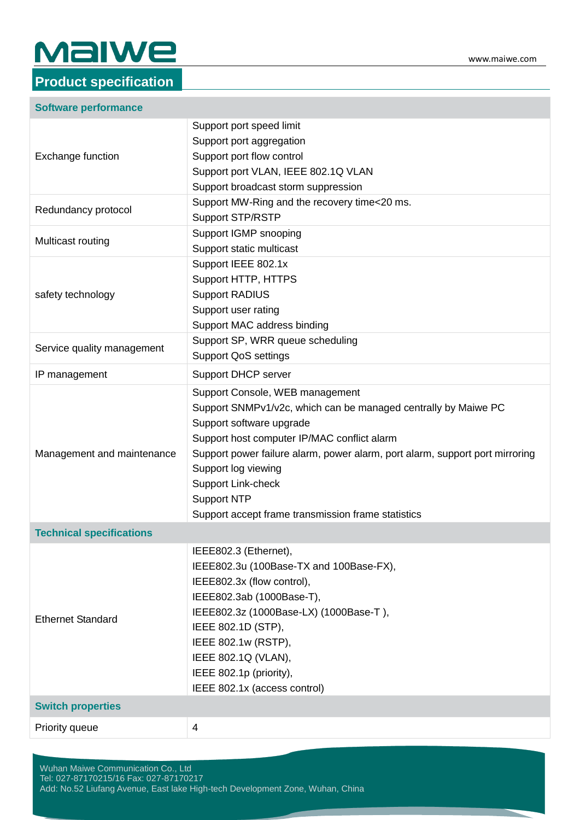# $\mathsf{M}\mathsf{al}\mathsf{we}\mathsf{...}\mathsf{...}$

## **Product specification**

| Support port speed limit<br>Support port aggregation<br>Support port flow control<br>Exchange function<br>Support port VLAN, IEEE 802.1Q VLAN<br>Support broadcast storm suppression<br>Support MW-Ring and the recovery time<20 ms.<br>Redundancy protocol<br><b>Support STP/RSTP</b><br>Support IGMP snooping<br>Multicast routing<br>Support static multicast<br>Support IEEE 802.1x<br>Support HTTP, HTTPS<br><b>Support RADIUS</b><br>safety technology<br>Support user rating<br>Support MAC address binding<br>Support SP, WRR queue scheduling<br>Service quality management<br><b>Support QoS settings</b><br>IP management<br><b>Support DHCP server</b><br>Support Console, WEB management<br>Support SNMPv1/v2c, which can be managed centrally by Maiwe PC<br>Support software upgrade<br>Support host computer IP/MAC conflict alarm<br>Support power failure alarm, power alarm, port alarm, support port mirroring<br>Management and maintenance<br>Support log viewing<br>Support Link-check<br><b>Support NTP</b><br>Support accept frame transmission frame statistics<br><b>Technical specifications</b><br>IEEE802.3 (Ethernet),<br>IEEE802.3u (100Base-TX and 100Base-FX),<br>IEEE802.3x (flow control),<br>IEEE802.3ab (1000Base-T),<br>IEEE802.3z (1000Base-LX) (1000Base-T),<br><b>Ethernet Standard</b><br>IEEE 802.1D (STP),<br>IEEE 802.1w (RSTP),<br>IEEE 802.1Q (VLAN),<br>IEEE 802.1p (priority),<br>IEEE 802.1x (access control)<br><b>Switch properties</b><br>Priority queue<br>$\overline{4}$ | <b>Software performance</b> |  |  |
|----------------------------------------------------------------------------------------------------------------------------------------------------------------------------------------------------------------------------------------------------------------------------------------------------------------------------------------------------------------------------------------------------------------------------------------------------------------------------------------------------------------------------------------------------------------------------------------------------------------------------------------------------------------------------------------------------------------------------------------------------------------------------------------------------------------------------------------------------------------------------------------------------------------------------------------------------------------------------------------------------------------------------------------------------------------------------------------------------------------------------------------------------------------------------------------------------------------------------------------------------------------------------------------------------------------------------------------------------------------------------------------------------------------------------------------------------------------------------------------------------------------------------------|-----------------------------|--|--|
|                                                                                                                                                                                                                                                                                                                                                                                                                                                                                                                                                                                                                                                                                                                                                                                                                                                                                                                                                                                                                                                                                                                                                                                                                                                                                                                                                                                                                                                                                                                                  |                             |  |  |
|                                                                                                                                                                                                                                                                                                                                                                                                                                                                                                                                                                                                                                                                                                                                                                                                                                                                                                                                                                                                                                                                                                                                                                                                                                                                                                                                                                                                                                                                                                                                  |                             |  |  |
|                                                                                                                                                                                                                                                                                                                                                                                                                                                                                                                                                                                                                                                                                                                                                                                                                                                                                                                                                                                                                                                                                                                                                                                                                                                                                                                                                                                                                                                                                                                                  |                             |  |  |
|                                                                                                                                                                                                                                                                                                                                                                                                                                                                                                                                                                                                                                                                                                                                                                                                                                                                                                                                                                                                                                                                                                                                                                                                                                                                                                                                                                                                                                                                                                                                  |                             |  |  |
|                                                                                                                                                                                                                                                                                                                                                                                                                                                                                                                                                                                                                                                                                                                                                                                                                                                                                                                                                                                                                                                                                                                                                                                                                                                                                                                                                                                                                                                                                                                                  |                             |  |  |
|                                                                                                                                                                                                                                                                                                                                                                                                                                                                                                                                                                                                                                                                                                                                                                                                                                                                                                                                                                                                                                                                                                                                                                                                                                                                                                                                                                                                                                                                                                                                  |                             |  |  |
|                                                                                                                                                                                                                                                                                                                                                                                                                                                                                                                                                                                                                                                                                                                                                                                                                                                                                                                                                                                                                                                                                                                                                                                                                                                                                                                                                                                                                                                                                                                                  |                             |  |  |
|                                                                                                                                                                                                                                                                                                                                                                                                                                                                                                                                                                                                                                                                                                                                                                                                                                                                                                                                                                                                                                                                                                                                                                                                                                                                                                                                                                                                                                                                                                                                  |                             |  |  |
|                                                                                                                                                                                                                                                                                                                                                                                                                                                                                                                                                                                                                                                                                                                                                                                                                                                                                                                                                                                                                                                                                                                                                                                                                                                                                                                                                                                                                                                                                                                                  |                             |  |  |
|                                                                                                                                                                                                                                                                                                                                                                                                                                                                                                                                                                                                                                                                                                                                                                                                                                                                                                                                                                                                                                                                                                                                                                                                                                                                                                                                                                                                                                                                                                                                  |                             |  |  |
|                                                                                                                                                                                                                                                                                                                                                                                                                                                                                                                                                                                                                                                                                                                                                                                                                                                                                                                                                                                                                                                                                                                                                                                                                                                                                                                                                                                                                                                                                                                                  |                             |  |  |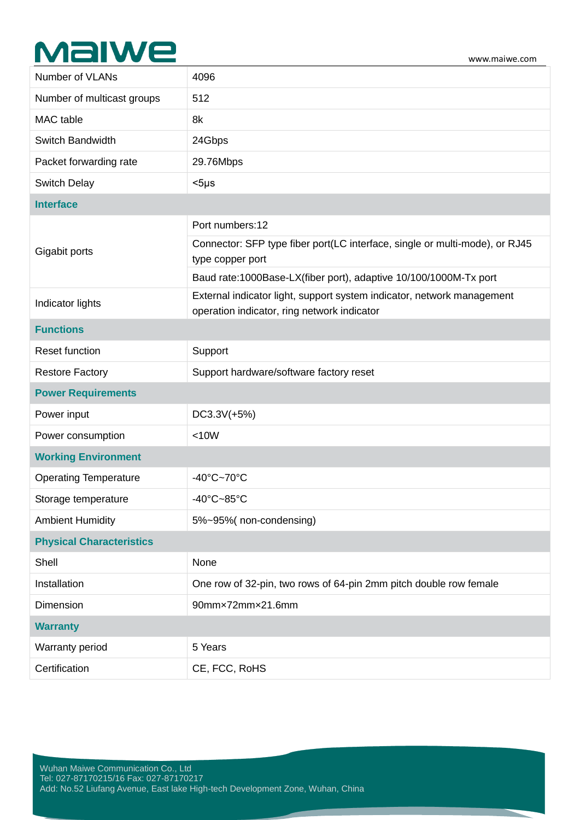# $\mathsf{\mathbf{M}\mathbf{al}\mathbf{w}\mathbf{e}}\mathsf{.}\qquad\qquad \qquad \mathsf{\mathbf{\mathsf{www.maiwe.com}}}$

| Number of VLANs                 | 4096                                                                                                                  |  |
|---------------------------------|-----------------------------------------------------------------------------------------------------------------------|--|
| Number of multicast groups      | 512                                                                                                                   |  |
| MAC table                       | 8k                                                                                                                    |  |
| Switch Bandwidth                | 24Gbps                                                                                                                |  |
| Packet forwarding rate          | 29.76Mbps                                                                                                             |  |
| <b>Switch Delay</b>             | $<$ 5µs                                                                                                               |  |
| <b>Interface</b>                |                                                                                                                       |  |
| Gigabit ports                   | Port numbers:12                                                                                                       |  |
|                                 | Connector: SFP type fiber port(LC interface, single or multi-mode), or RJ45<br>type copper port                       |  |
|                                 | Baud rate:1000Base-LX(fiber port), adaptive 10/100/1000M-Tx port                                                      |  |
| Indicator lights                | External indicator light, support system indicator, network management<br>operation indicator, ring network indicator |  |
| <b>Functions</b>                |                                                                                                                       |  |
| Reset function                  | Support                                                                                                               |  |
| <b>Restore Factory</b>          | Support hardware/software factory reset                                                                               |  |
| <b>Power Requirements</b>       |                                                                                                                       |  |
| Power input                     | DC3.3V(+5%)                                                                                                           |  |
| Power consumption               | < 10W                                                                                                                 |  |
| <b>Working Environment</b>      |                                                                                                                       |  |
| <b>Operating Temperature</b>    | $-40^{\circ}$ C $-70^{\circ}$ C                                                                                       |  |
| Storage temperature             | -40°C~85°C                                                                                                            |  |
| <b>Ambient Humidity</b>         | 5%~95%(non-condensing)                                                                                                |  |
| <b>Physical Characteristics</b> |                                                                                                                       |  |
| Shell                           | None                                                                                                                  |  |
| Installation                    | One row of 32-pin, two rows of 64-pin 2mm pitch double row female                                                     |  |
| Dimension                       | 90mmx72mmx21.6mm                                                                                                      |  |
| <b>Warranty</b>                 |                                                                                                                       |  |
| Warranty period                 | 5 Years                                                                                                               |  |
| Certification                   | CE, FCC, RoHS                                                                                                         |  |